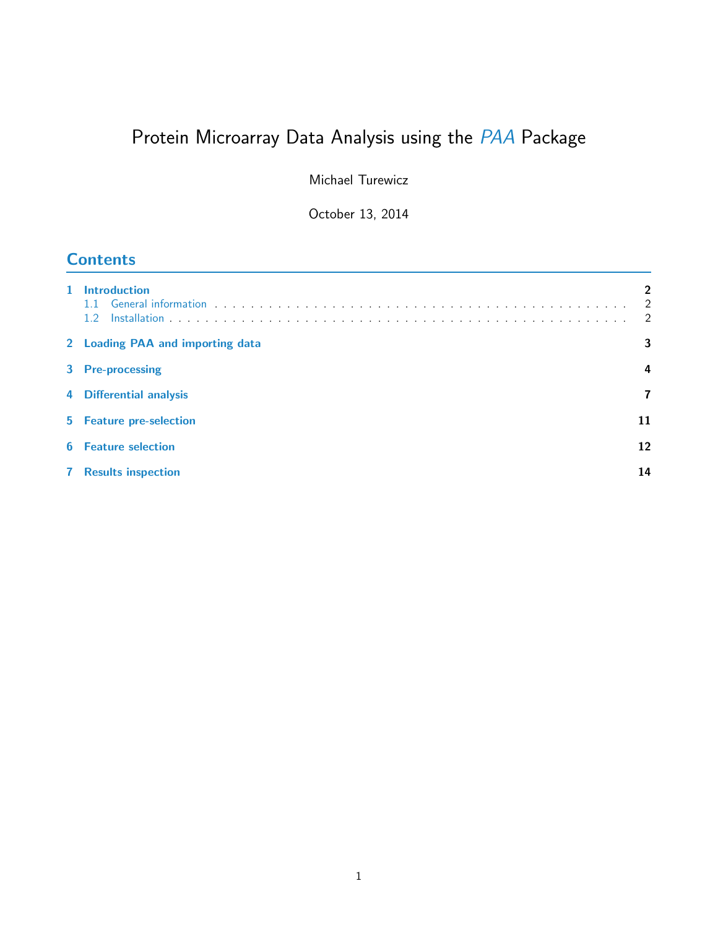# Protein Microarray Data Analysis using the [PAA](http://bioconductor.org/packages/release/bioc/html/PAA.html) Package

Michael Turewicz

October 13, 2014

# **Contents**

| 1 Introduction<br>$1.2^{\circ}$  | $\overline{2}$<br>$\overline{2}$ |  |  |  |
|----------------------------------|----------------------------------|--|--|--|
| 2 Loading PAA and importing data |                                  |  |  |  |
| 3 Pre-processing                 |                                  |  |  |  |
| 4 Differential analysis          |                                  |  |  |  |
| 5 Feature pre-selection          | 11                               |  |  |  |
| <b>6</b> Feature selection       | 12                               |  |  |  |
| <b>7</b> Results inspection      | 14                               |  |  |  |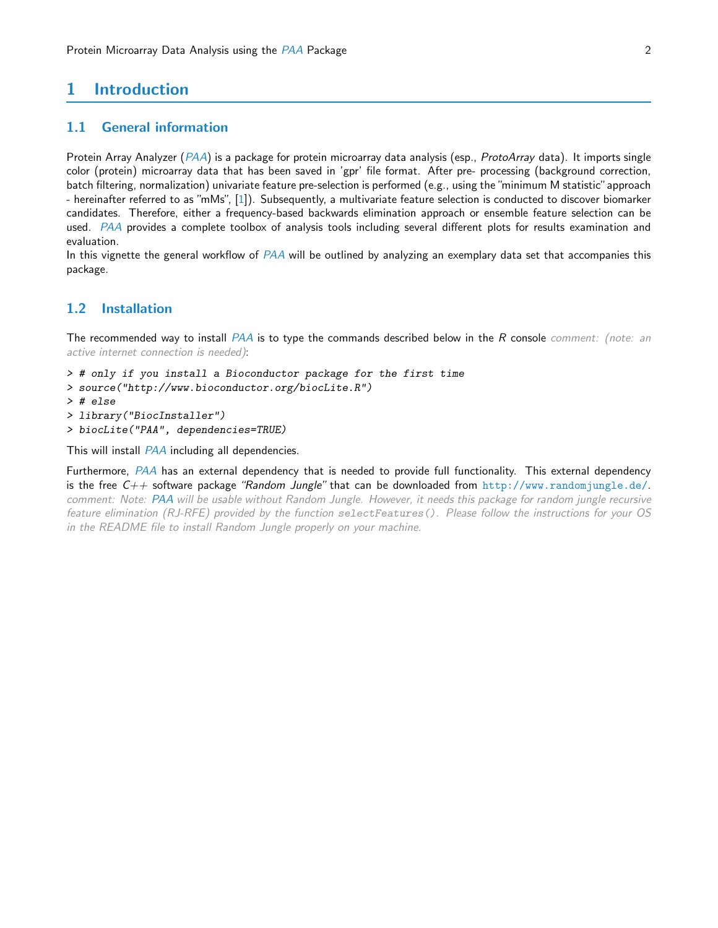# <span id="page-1-0"></span>1 Introduction

#### <span id="page-1-1"></span>1.1 General information

Protein Array Analyzer ([PAA](http://bioconductor.org/packages/release/bioc/html/PAA.html)) is a package for protein microarray data analysis (esp., ProtoArray data). It imports single color (protein) microarray data that has been saved in 'gpr' file format. After pre- processing (background correction, batch filtering, normalization) univariate feature pre-selection is performed (e.g., using the "minimum M statistic"approach - hereinafter referred to as "mMs", [\[1\]](#page-16-0)). Subsequently, a multivariate feature selection is conducted to discover biomarker candidates. Therefore, either a frequency-based backwards elimination approach or ensemble feature selection can be used. [PAA](http://bioconductor.org/packages/release/bioc/html/PAA.html) provides a complete toolbox of analysis tools including several different plots for results examination and evaluation.

In this vignette the general workflow of [PAA](http://bioconductor.org/packages/release/bioc/html/PAA.html) will be outlined by analyzing an exemplary data set that accompanies this package.

### <span id="page-1-2"></span>1.2 Installation

The recommended way to install  $PAA$  is to type the commands described below in the  $R$  console comment: (note: an active internet connection is needed):

- > # only if you install a Bioconductor package for the first time
- > source("http://www.bioconductor.org/biocLite.R")
- > # else
- > library("BiocInstaller")
- > biocLite("PAA", dependencies=TRUE)

This will install [PAA](http://bioconductor.org/packages/release/bioc/html/PAA.html) including all dependencies.

Furthermore, [PAA](http://bioconductor.org/packages/release/bioc/html/PAA.html) has an external dependency that is needed to provide full functionality. This external dependency is the free  $C_{++}$  software package "Random Jungle" that can be downloaded from <http://www.randomjungle.de/>. comment: Note: [PAA](http://bioconductor.org/packages/release/bioc/html/PAA.html) will be usable without Random Jungle. However, it needs this package for random jungle recursive feature elimination (RJ-RFE) provided by the function selectFeatures(). Please follow the instructions for your OS in the README file to install Random Jungle properly on your machine.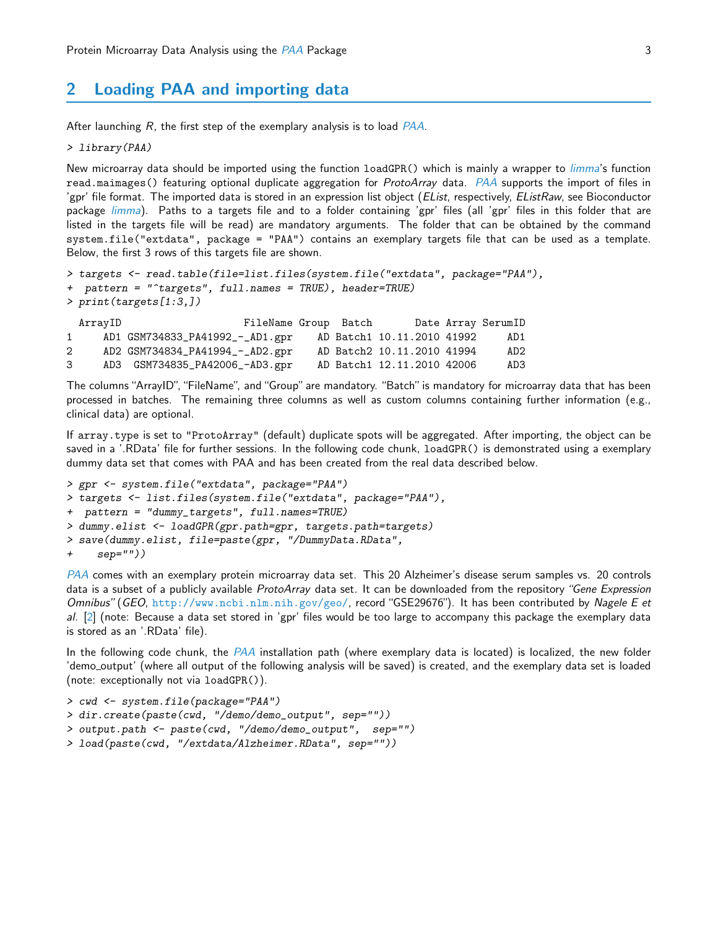# <span id="page-2-0"></span>2 Loading [PAA](http://bioconductor.org/packages/release/bioc/html/PAA.html) and importing data

After launching  $R$ , the first step of the exemplary analysis is to load  $PAA$ .

> library(PAA)

New microarray data should be imported using the function loadGPR() which is mainly a wrapper to *[limma](http://bioconductor.org/packages/release/bioc/html/limma.html)'s* function read.maimages() featuring optional duplicate aggregation for *ProtoArray* data. [PAA](http://bioconductor.org/packages/release/bioc/html/PAA.html) supports the import of files in 'gpr' file format. The imported data is stored in an expression list object (EList, respectively, EListRaw, see Bioconductor package *[limma](http://bioconductor.org/packages/release/bioc/html/limma.html)*). Paths to a targets file and to a folder containing 'gpr' files (all 'gpr' files in this folder that are listed in the targets file will be read) are mandatory arguments. The folder that can be obtained by the command system.file("extdata", package = "PAA") contains an exemplary targets file that can be used as a template. Below, the first 3 rows of this targets file are shown.

```
> targets <- read.table(file=list.files(system.file("extdata", package="PAA"),
+ pattern = "^targets", full.names = TRUE), header=TRUE)
> print(targets[1:3,])
 ArrayID FileName Group Batch Date Array SerumID
```
1 AD1 GSM734833\_PA41992\_-\_AD1.gpr AD Batch1 10.11.2010 41992 AD1 2 AD2 GSM734834\_PA41994\_-\_AD2.gpr AD Batch2 10.11.2010 41994 AD2 3 AD3 GSM734835\_PA42006\_-AD3.gpr AD Batch1 12.11.2010 42006 AD3

The columns "ArrayID", "FileName", and "Group" are mandatory. "Batch" is mandatory for microarray data that has been processed in batches. The remaining three columns as well as custom columns containing further information (e.g., clinical data) are optional.

If array.type is set to "ProtoArray" (default) duplicate spots will be aggregated. After importing, the object can be saved in a '.RData' file for further sessions. In the following code chunk, loadGPR() is demonstrated using a exemplary dummy data set that comes with PAA and has been created from the real data described below.

```
> gpr <- system.file("extdata", package="PAA")
> targets <- list.files(system.file("extdata", package="PAA"),
+ pattern = "dummy_targets", full.names=TRUE)
> dummy.elist <- loadGPR(gpr.path=gpr, targets.path=targets)
> save(dummy.elist, file=paste(gpr, "/DummyData.RData",
+ sep=""))
```
[PAA](http://bioconductor.org/packages/release/bioc/html/PAA.html) comes with an exemplary protein microarray data set. This 20 Alzheimer's disease serum samples vs. 20 controls data is a subset of a publicly available ProtoArray data set. It can be downloaded from the repository "Gene Expression Omnibus" (GEO, <http://www.ncbi.nlm.nih.gov/geo/>, record "GSE29676"). It has been contributed by Nagele E et  $aI.$  [\[2\]](#page-16-1) (note: Because a data set stored in 'gpr' files would be too large to accompany this package the exemplary data is stored as an '.RData' file).

In the following code chunk, the  $PAA$  installation path (where exemplary data is located) is localized, the new folder 'demo output' (where all output of the following analysis will be saved) is created, and the exemplary data set is loaded (note: exceptionally not via loadGPR()).

```
> cwd <- system.file(package="PAA")
> dir.create(paste(cwd, "/demo/demo_output", sep=""))
> output.path <- paste(cwd, "/demo/demo_output", sep="")
> load(paste(cwd, "/extdata/Alzheimer.RData", sep=""))
```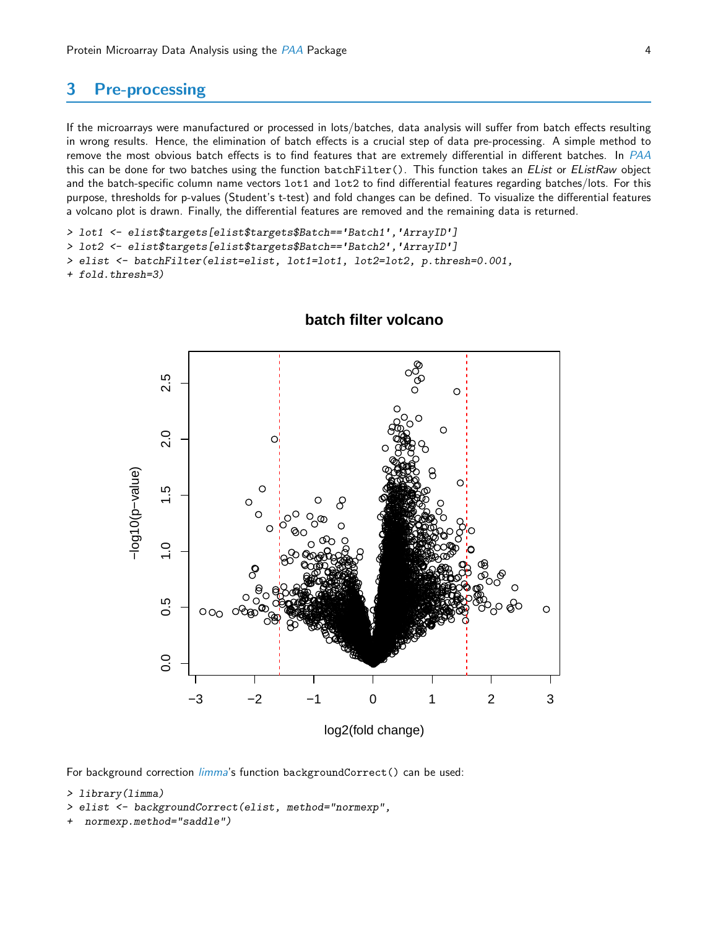#### <span id="page-3-0"></span>3 **Pre-processing**

If the microarrays were manufactured or processed in lots/batches, data analysis will suffer from batch effects resulting in wrong results. Hence, the elimination of batch effects is a crucial step of data pre-processing. A simple method to remove the most obvious batch effects is to find features that are extremely differential in different batches. In PAA this can be done for two batches using the function batchFilter(). This function takes an EList or EListRaw object and the batch-specific column name vectors lot1 and lot2 to find differential features regarding batches/lots. For this purpose, thresholds for p-values (Student's t-test) and fold changes can be defined. To visualize the differential features a volcano plot is drawn. Finally, the differential features are removed and the remaining data is returned.

```
> lot1 <- elist$targets[elist$targets$Batch == 'Batch1', 'ArrayID']
```
> lot2 <- elist\$targets[elist\$targets\$Batch=='Batch2', 'ArrayID']

```
> elist <- batchFilter(elist=elist, lot1=lot1, lot2=lot2, p.thresh=0.001,
```

```
+ fold.thresh=3)
```


## batch filter volcano

For background correction *limma's* function backgroundCorrect() can be used:

```
> library(limma)
```
- > elist <- backgroundCorrect(elist, method="normexp",
- normexp.method="saddle")  $\ddot{}$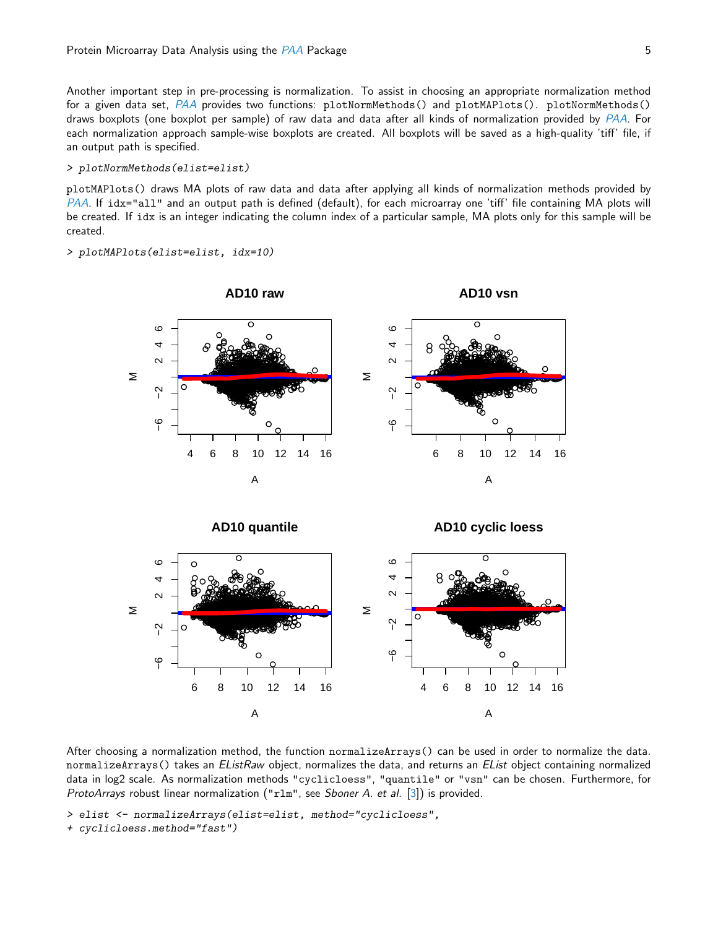Another important step in pre-processing is normalization. To assist in choosing an appropriate normalization method for a given data set, PAA provides two functions: plotNormMethods() and plotMAPlots(). plotNormMethods() draws boxplots (one boxplot per sample) of raw data and data after all kinds of normalization provided by PAA. For each normalization approach sample-wise boxplots are created. All boxplots will be saved as a high-quality 'tiff' file, if an output path is specified.

#### > plotNormMethods(elist=elist)

plotMAPlots () draws MA plots of raw data and data after applying all kinds of normalization methods provided by PAA. If idx="all" and an output path is defined (default), for each microarray one 'tiff' file containing MA plots will be created. If idx is an integer indicating the column index of a particular sample, MA plots only for this sample will be created.

#### > plotMAPlots(elist=elist, idx=10)



After choosing a normalization method, the function normalizeArrays() can be used in order to normalize the data. normalizeArrays() takes an EListRaw object, normalizes the data, and returns an EList object containing normalized data in log2 scale. As normalization methods "cyclicloess", "quantile" or "vsn" can be chosen. Furthermore, for ProtoArrays robust linear normalization ("r1m", see Sboner A. et al. [3]) is provided.

- > elist <- normalizeArrays(elist=elist, method="cyclicloess",
- + cyclicloess.method="fast")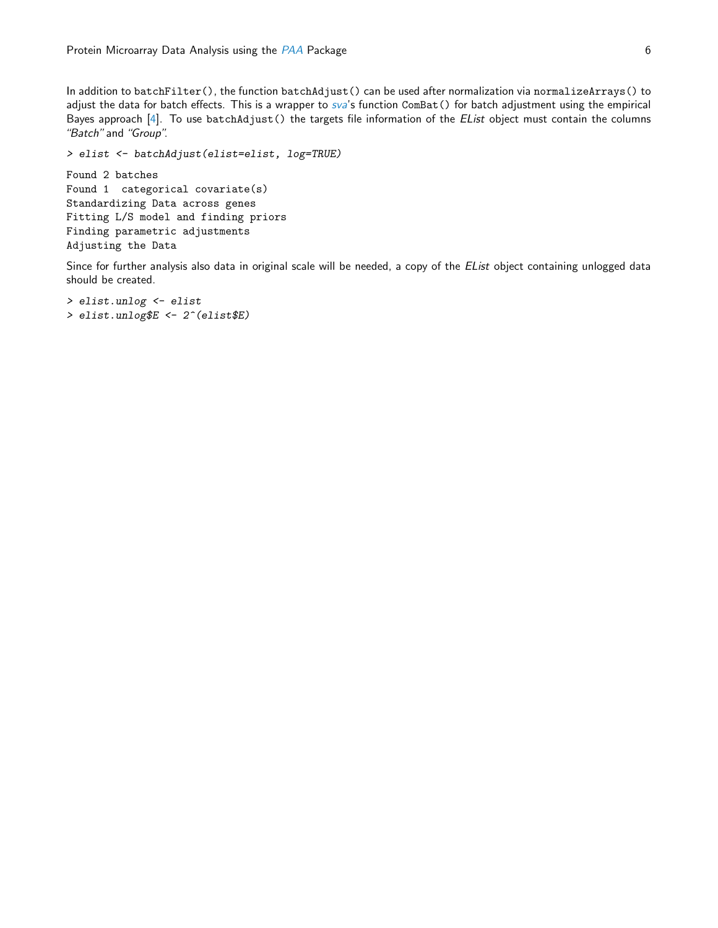In addition to batchFilter(), the function batchAdjust() can be used after normalization via normalizeArrays() to adjust the data for batch effects. This is a wrapper to [sva](http://bioconductor.org/packages/release/bioc/html/sva.html)'s function ComBat() for batch adjustment using the empirical Bayes approach [\[4\]](#page-16-3). To use batchAdjust() the targets file information of the EList object must contain the columns "Batch" and "Group".

> elist <- batchAdjust(elist=elist, log=TRUE)

Found 2 batches Found 1 categorical covariate(s) Standardizing Data across genes Fitting L/S model and finding priors Finding parametric adjustments Adjusting the Data

Since for further analysis also data in original scale will be needed, a copy of the *EList* object containing unlogged data should be created.

> elist.unlog <- elist > elist.unlog\$E <- 2^(elist\$E)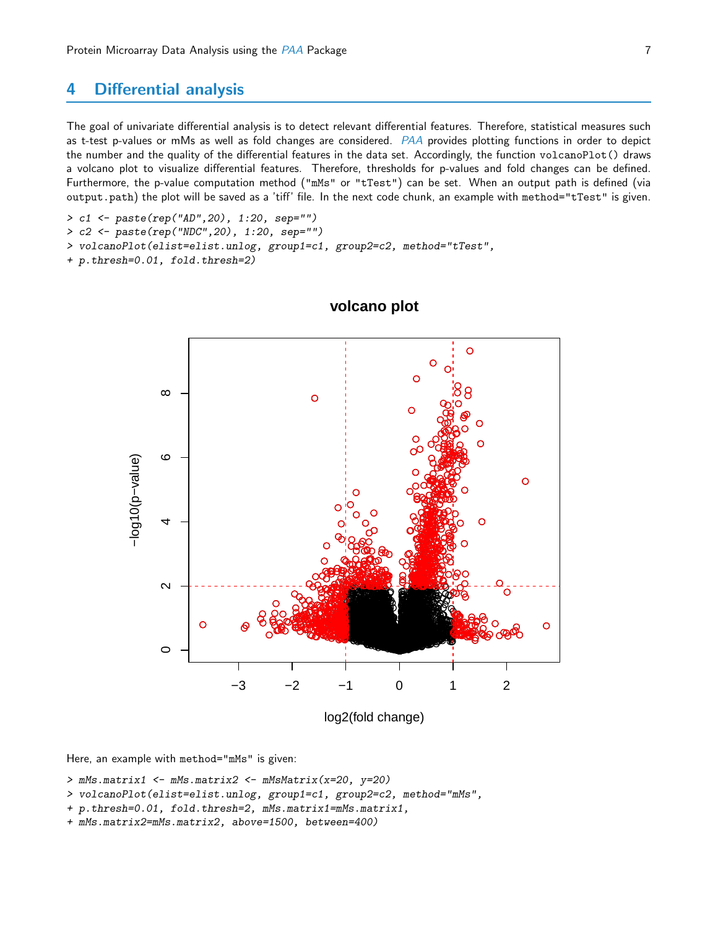#### <span id="page-6-0"></span>**Differential analysis** 4

The goal of univariate differential analysis is to detect relevant differential features. Therefore, statistical measures such as t-test p-values or mMs as well as fold changes are considered. PAA provides plotting functions in order to depict the number and the quality of the differential features in the data set. Accordingly, the function volcanoPlot() draws a volcano plot to visualize differential features. Therefore, thresholds for p-values and fold changes can be defined. Furthermore, the p-value computation method ("mMs" or "tTest") can be set. When an output path is defined (via output.path) the plot will be saved as a 'tiff' file. In the next code chunk, an example with method="tTest" is given.

> c1 <- paste(rep("AD", 20), 1:20, sep="")

> c2 <- paste(rep("NDC", 20), 1:20, sep="")

> volcanoPlot(elist=elist.unlog, group1=c1, group2=c2, method="tTest",

+ p.thresh=0.01, fold.thresh=2)



volcano plot

Here, an example with method="mMs" is given:

> mMs.matrix1 <- mMs.matrix2 <- mMsMatrix(x=20, y=20)

- > volcanoPlot(elist=elist.unlog, group1=c1, group2=c2, method="mMs",
- + p.thresh=0.01, fold.thresh=2, mMs.matrix1=mMs.matrix1,
- + mMs.matrix2=mMs.matrix2, above=1500, between=400)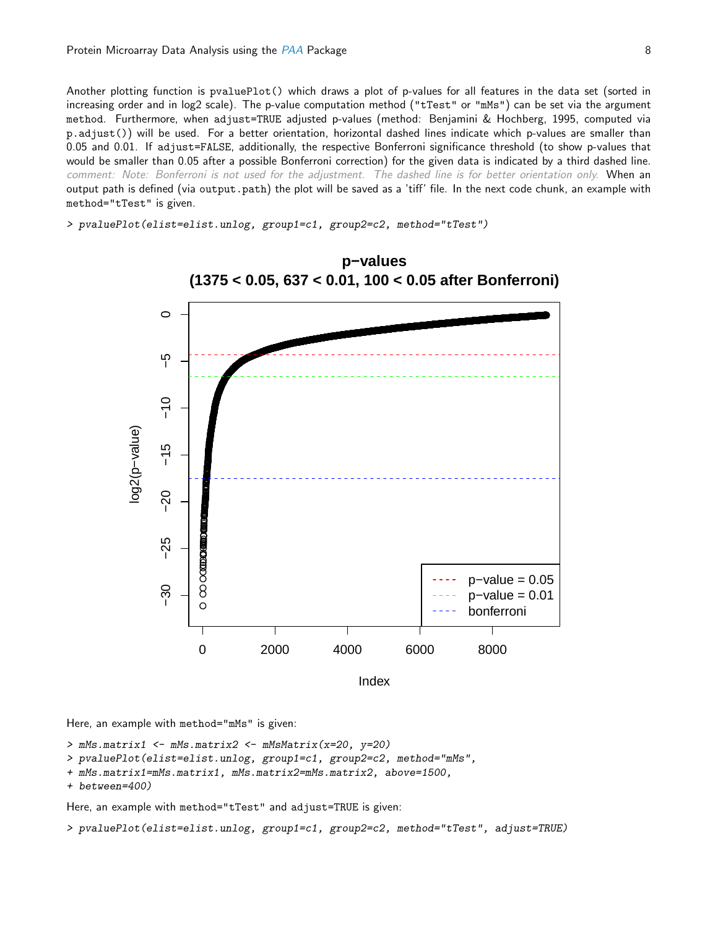Another plotting function is pvaluePlot() which draws a plot of p-values for all features in the data set (sorted in increasing order and in log2 scale). The p-value computation method ("tTest" or "mMs") can be set via the argument method. Furthermore, when adjust=TRUE adjusted p-values (method: Benjamini & Hochberg, 1995, computed via p.adjust()) will be used. For a better orientation, horizontal dashed lines indicate which p-values are smaller than 0.05 and 0.01. If adjust=FALSE, additionally, the respective Bonferroni significance threshold (to show p-values that would be smaller than 0.05 after a possible Bonferroni correction) for the given data is indicated by a third dashed line. comment: Note: Bonferroni is not used for the adjustment. The dashed line is for better orientation only. When an output path is defined (via output.path) the plot will be saved as a 'tiff' file. In the next code chunk, an example with method="tTest" is given.

> pvaluePlot(elist=elist.unlog, group1=c1, group2=c2, method="tTest")



Here, an example with method="mMs" is given:

```
> mMs.matrix1 <- mMs.matrix2 <- mMsMatrix(x=20, y=20)
```

```
> pvaluePlot(elist=elist.unlog, group1=c1, group2=c2, method="mMs",
```
+ mMs.matrix1=mMs.matrix1, mMs.matrix2=mMs.matrix2, above=1500,

```
+ between=400)
```
Here, an example with method="tTest" and adjust=TRUE is given:

> pvaluePlot(elist=elist.unlog, group1=c1, group2=c2, method="tTest", adjust=TRUE)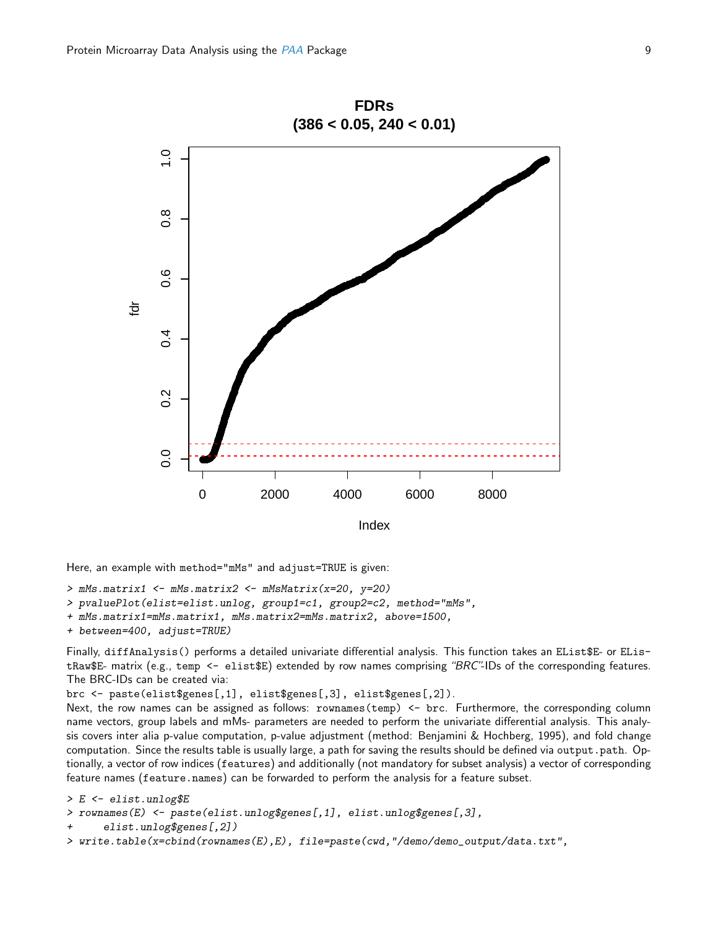

Here, an example with method="mMs" and adjust=TRUE is given:  $>$  mMs.matrix1  $<-$  mMs.matrix2  $<-$  mMsMatrix(x=20, y=20)

> pvaluePlot(elist=elist.unlog, group1=c1, group2=c2, method="mMs",

+ mMs.matrix1=mMs.matrix1, mMs.matrix2=mMs.matrix2, above=1500,

```
+ between=400, adjust=TRUE)
```
Finally, diffAnalysis() performs a detailed univariate differential analysis. This function takes an EList\$E- or EListRaw\$E- matrix (e.g., temp <- elist\$E) extended by row names comprising "BRC"-IDs of the corresponding features. The BRC-IDs can be created via:

brc <- paste(elist\$genes[,1], elist\$genes[,3], elist\$genes[,2]).

Next, the row names can be assigned as follows: rownames (temp) <- brc. Furthermore, the corresponding column name vectors, group labels and mMs- parameters are needed to perform the univariate differential analysis. This analysis covers inter alia p-value computation, p-value adjustment (method: Benjamini & Hochberg, 1995), and fold change computation. Since the results table is usually large, a path for saving the results should be defined via output.path. Optionally, a vector of row indices (features) and additionally (not mandatory for subset analysis) a vector of corresponding feature names (feature.names) can be forwarded to perform the analysis for a feature subset.

```
> E <- elist.unlog$E
> rownames(E) <- paste(elist.unlog$genes[,1], elist.unlog$genes[,3],
      elist.unlog$genes[,2])
> write.table(x=cbind(rownames(E),E), file=paste(cwd,"/demo/demo_output/data.txt",
```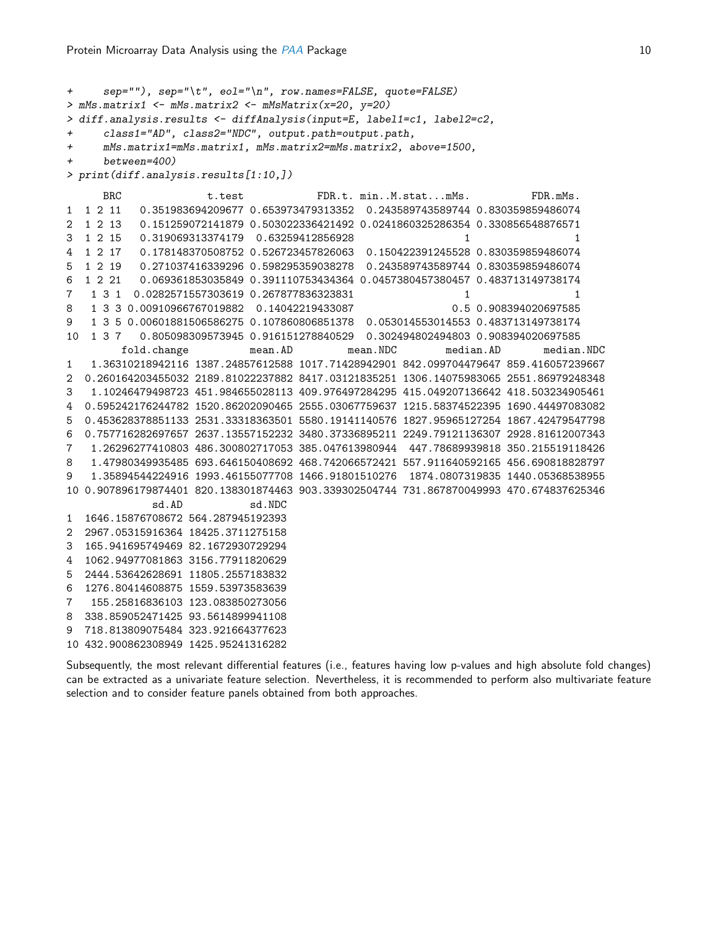```
+ sep=""), sep="\t", eol="\n", row.names=FALSE, quote=FALSE)
> mMs.matrix1 <- mMs.matrix2 <- mMsMatrix(x=20, y=20)
> diff.analysis.results <- diffAnalysis(input=E, label1=c1, label2=c2,
+ class1="AD", class2="NDC", output.path=output.path,
+ mMs.matrix1=mMs.matrix1, mMs.matrix2=mMs.matrix2, above=1500,
+ between=400)
> print(diff.analysis.results[1:10,])
     BRC t.test FDR.t. min..M.stat...mMs. FDR.mMs.
1 1 2 11 0.351983694209677 0.653973479313352 0.243589743589744 0.830359859486074
2 1 2 13 0.151259072141879 0.503022336421492 0.0241860325286354 0.330856548876571
3 1 2 15 0.319069313374179 0.63259412856928 1 1
4 1 2 17 0.178148370508752 0.526723457826063 0.150422391245528 0.830359859486074
5 1 2 19 0.271037416339296 0.598295359038278 0.243589743589744 0.830359859486074
6 1 2 21 0.069361853035849 0.391110753434364 0.0457380457380457 0.483713149738174
7 1 3 1 0.0282571557303619 0.267877836323831 1 1
8 1 3 3 0.00910966767019882 0.14042219433087 0.5 0.908394020697585
9 1 3 5 0.00601881506586275 0.107860806851378 0.053014553014553 0.483713149738174
10 1 3 7 0.805098309573945 0.916151278840529 0.302494802494803 0.908394020697585
        fold.change mean.AD mean.NDC median.AD median.NDC
1 1.36310218942116 1387.24857612588 1017.71428942901 842.099704479647 859.416057239667
2 0.260164203455032 2189.81022237882 8417.03121835251 1306.14075983065 2551.86979248348
3 1.10246479498723 451.984655028113 409.976497284295 415.049207136642 418.503234905461
4 0.595242176244782 1520.86202090465 2555.03067759637 1215.58374522395 1690.44497083082
5 0.453628378851133 2531.33318363501 5580.19141140576 1827.95965127254 1867.42479547798
6 0.757716282697657 2637.13557152232 3480.37336895211 2249.79121136307 2928.81612007343
7 1.26296277410803 486.300802717053 385.047613980944 447.78689939818 350.215519118426
8 1.47980349935485 693.646150408692 468.742066572421 557.911640592165 456.690818828797
9 1.35894544224916 1993.46155077708 1466.91801510276 1874.0807319835 1440.05368538955
10 0.907896179874401 820.138301874463 903.339302504744 731.867870049993 470.674837625346
            sd.AD sd.NDC
1 1646.15876708672 564.287945192393
2 2967.05315916364 18425.3711275158
3 165.941695749469 82.1672930729294
4 1062.94977081863 3156.77911820629
5 2444.53642628691 11805.2557183832
6 1276.80414608875 1559.53973583639
7 155.25816836103 123.083850273056
8 338.859052471425 93.5614899941108
9 718.813809075484 323.921664377623
10 432.900862308949 1425.95241316282
```
Subsequently, the most relevant differential features (i.e., features having low p-values and high absolute fold changes) can be extracted as a univariate feature selection. Nevertheless, it is recommended to perform also multivariate feature selection and to consider feature panels obtained from both approaches.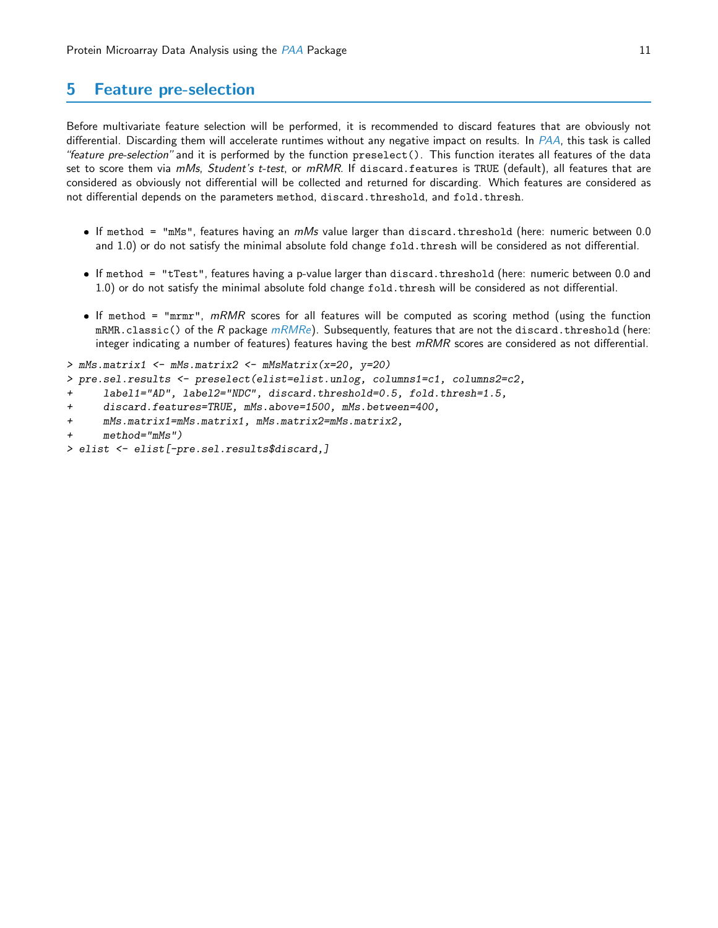## <span id="page-10-0"></span>5 Feature pre-selection

Before multivariate feature selection will be performed, it is recommended to discard features that are obviously not differential. Discarding them will accelerate runtimes without any negative impact on results. In [PAA](http://bioconductor.org/packages/release/bioc/html/PAA.html), this task is called "feature pre-selection" and it is performed by the function preselect(). This function iterates all features of the data set to score them via mMs, Student's t-test, or mRMR. If discard.features is TRUE (default), all features that are considered as obviously not differential will be collected and returned for discarding. Which features are considered as not differential depends on the parameters method, discard.threshold, and fold.thresh.

- $\bullet$  If method = "mMs", features having an  $mM$ s value larger than discard.threshold (here: numeric between 0.0 and 1.0) or do not satisfy the minimal absolute fold change fold.thresh will be considered as not differential.
- If method = "tTest", features having a p-value larger than discard.threshold (here: numeric between 0.0 and 1.0) or do not satisfy the minimal absolute fold change fold.thresh will be considered as not differential.
- If method = "mrmr",  $mRMR$  scores for all features will be computed as scoring method (using the function mRMR.classic() of the R package  $mRMRe$ ). Subsequently, features that are not the discard.threshold (here: integer indicating a number of features) features having the best  $mRMR$  scores are considered as not differential.

```
> mMs.matrix1 \leq mMs.matrix2 \leq mMsMatrix(x=20, y=20)
```
- > pre.sel.results <- preselect(elist=elist.unlog, columns1=c1, columns2=c2,
- + label1="AD", label2="NDC", discard.threshold=0.5, fold.thresh=1.5,
- + discard.features=TRUE, mMs.above=1500, mMs.between=400,
- + mMs.matrix1=mMs.matrix1, mMs.matrix2=mMs.matrix2,
- + method="mMs")
- > elist <- elist[-pre.sel.results\$discard,]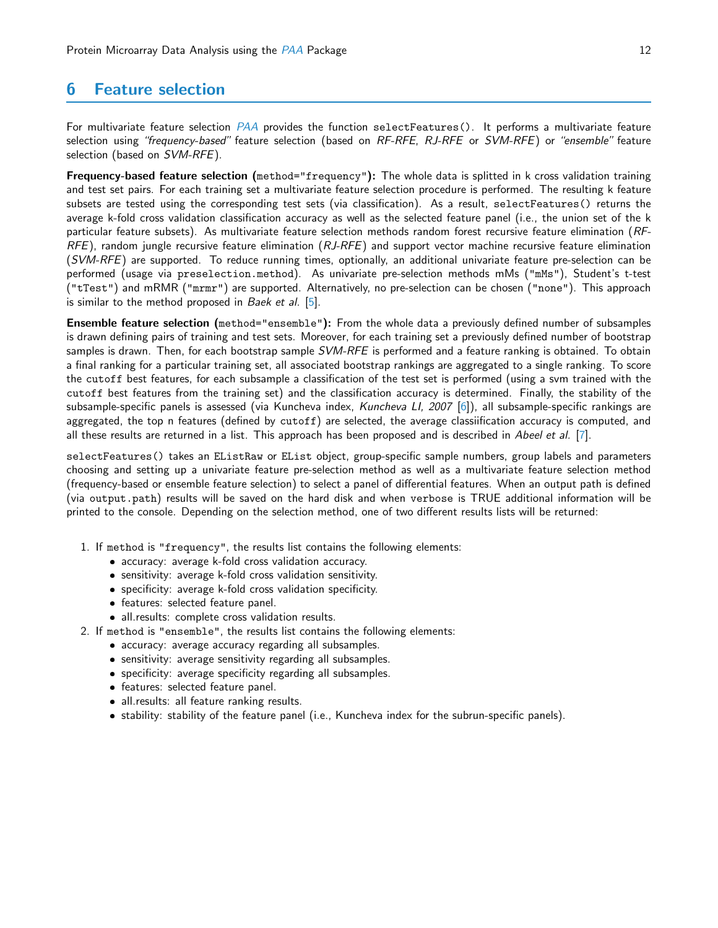# <span id="page-11-0"></span>6 Feature selection

For multivariate feature selection [PAA](http://bioconductor.org/packages/release/bioc/html/PAA.html) provides the function selectFeatures(). It performs a multivariate feature selection using "frequency-based" feature selection (based on RF-RFE, RJ-RFE or SVM-RFE) or "ensemble" feature selection (based on SVM-RFE).

Frequency-based feature selection (method="frequency"): The whole data is splitted in k cross validation training and test set pairs. For each training set a multivariate feature selection procedure is performed. The resulting k feature subsets are tested using the corresponding test sets (via classification). As a result, selectFeatures() returns the average k-fold cross validation classification accuracy as well as the selected feature panel (i.e., the union set of the k particular feature subsets). As multivariate feature selection methods random forest recursive feature elimination (RF- $RFE$ ), random jungle recursive feature elimination  $(RJ-RFE)$  and support vector machine recursive feature elimination (SVM-RFE) are supported. To reduce running times, optionally, an additional univariate feature pre-selection can be performed (usage via preselection.method). As univariate pre-selection methods mMs ("mMs"), Student's t-test ("tTest") and mRMR ("mrmr") are supported. Alternatively, no pre-selection can be chosen ("none"). This approach is similar to the method proposed in Baek et al.  $[5]$ .

Ensemble feature selection (method="ensemble"): From the whole data a previously defined number of subsamples is drawn defining pairs of training and test sets. Moreover, for each training set a previously defined number of bootstrap samples is drawn. Then, for each bootstrap sample *SVM-RFE* is performed and a feature ranking is obtained. To obtain a final ranking for a particular training set, all associated bootstrap rankings are aggregated to a single ranking. To score the cutoff best features, for each subsample a classification of the test set is performed (using a svm trained with the cutoff best features from the training set) and the classification accuracy is determined. Finally, the stability of the subsample-specific panels is assessed (via Kuncheva index, Kuncheva LI, 2007 [\[6\]](#page-16-5)), all subsample-specific rankings are aggregated, the top n features (defined by cutoff) are selected, the average classiification accuracy is computed, and all these results are returned in a list. This approach has been proposed and is described in Abeel et al.  $[7]$ .

selectFeatures() takes an EListRaw or EList object, group-specific sample numbers, group labels and parameters choosing and setting up a univariate feature pre-selection method as well as a multivariate feature selection method (frequency-based or ensemble feature selection) to select a panel of differential features. When an output path is defined (via output.path) results will be saved on the hard disk and when verbose is TRUE additional information will be printed to the console. Depending on the selection method, one of two different results lists will be returned:

- 1. If method is "frequency", the results list contains the following elements:
	- accuracy: average k-fold cross validation accuracy.
	- sensitivity: average k-fold cross validation sensitivity.
	- specificity: average k-fold cross validation specificity.
	- features: selected feature panel.
	- all.results: complete cross validation results.
- 2. If method is "ensemble", the results list contains the following elements:
	- **•** accuracy: average accuracy regarding all subsamples.
	- sensitivity: average sensitivity regarding all subsamples.
	- specificity: average specificity regarding all subsamples.
	- features: selected feature panel.
	- all.results: all feature ranking results.
	- stability: stability of the feature panel (i.e., Kuncheva index for the subrun-specific panels).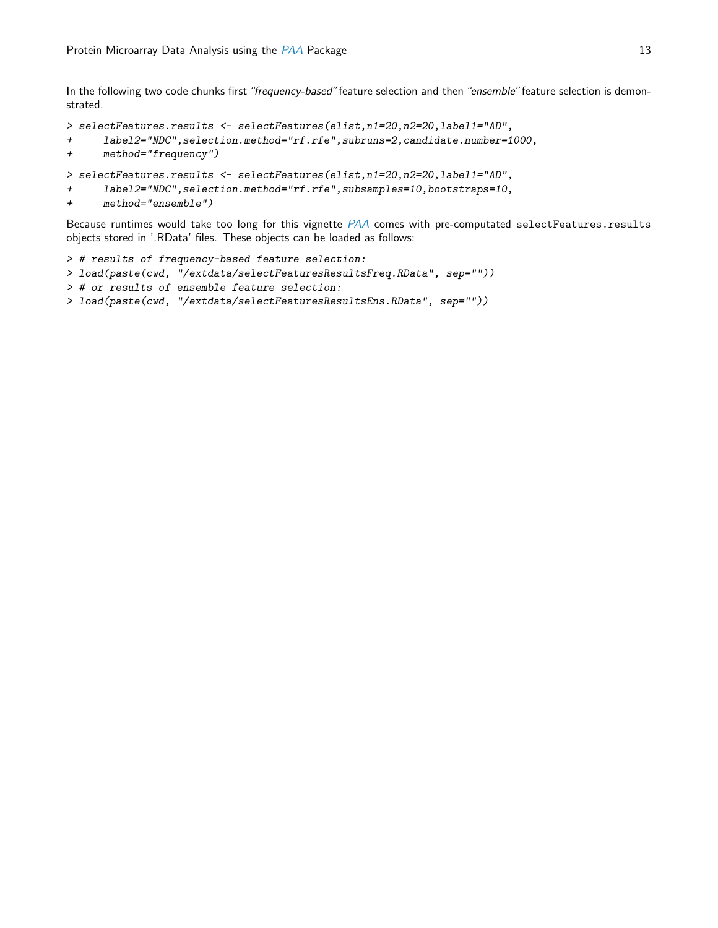In the following two code chunks first "frequency-based" feature selection and then "ensemble" feature selection is demonstrated.

```
> selectFeatures.results <- selectFeatures(elist,n1=20,n2=20,label1="AD",
+ label2="NDC",selection.method="rf.rfe",subruns=2,candidate.number=1000,
+ method="frequency")
> selectFeatures.results <- selectFeatures(elist,n1=20,n2=20,label1="AD",
```

```
+ label2="NDC", selection.method="rf.rfe", subsamples=10, bootstraps=10,
```

```
+ method="ensemble")
```
Because runtimes would take too long for this vignette [PAA](http://bioconductor.org/packages/release/bioc/html/PAA.html) comes with pre-computated selectFeatures.results objects stored in '.RData' files. These objects can be loaded as follows:

```
> # results of frequency-based feature selection:
> load(paste(cwd, "/extdata/selectFeaturesResultsFreq.RData", sep=""))
> # or results of ensemble feature selection:
> load(paste(cwd, "/extdata/selectFeaturesResultsEns.RData", sep=""))
```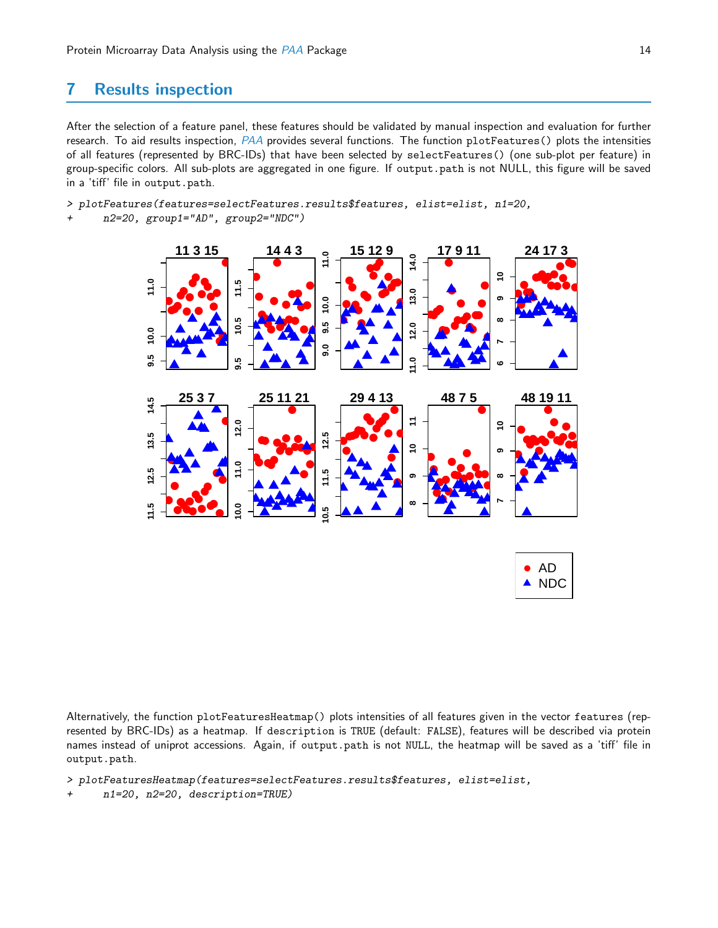# <span id="page-13-0"></span>7 Results inspection

After the selection of a feature panel, these features should be validated by manual inspection and evaluation for further research. To aid results inspection, [PAA](http://bioconductor.org/packages/release/bioc/html/PAA.html) provides several functions. The function plotFeatures() plots the intensities of all features (represented by BRC-IDs) that have been selected by selectFeatures() (one sub-plot per feature) in group-specific colors. All sub-plots are aggregated in one figure. If output.path is not NULL, this figure will be saved in a 'tiff' file in output.path.

> plotFeatures(features=selectFeatures.results\$features, elist=elist, n1=20,

+ n2=20, group1="AD", group2="NDC")



Alternatively, the function plotFeaturesHeatmap() plots intensities of all features given in the vector features (represented by BRC-IDs) as a heatmap. If description is TRUE (default: FALSE), features will be described via protein names instead of uniprot accessions. Again, if output.path is not NULL, the heatmap will be saved as a 'tiff' file in output.path.

> plotFeaturesHeatmap(features=selectFeatures.results\$features, elist=elist,

n1=20, n2=20, description=TRUE)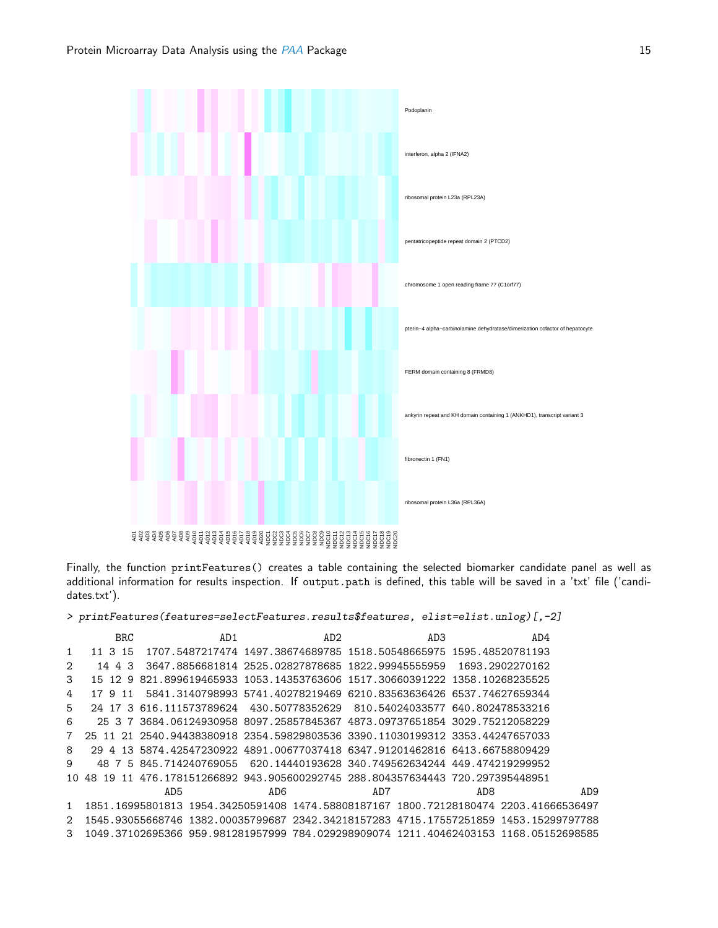

Finally, the function printFeatures() creates a table containing the selected biomarker candidate panel as well as additional information for results inspection. If output.path is defined, this table will be saved in a 'txt' file ('candidates.txt').

> printFeatures(features=selectFeatures.results\$features, elist=elist.unlog)[,-2]

|     | <b>BRC</b>   | AD1 | AD2 | AD3                                                                          | AD4                                                                                  |     |
|-----|--------------|-----|-----|------------------------------------------------------------------------------|--------------------------------------------------------------------------------------|-----|
| 1   | 11 3 15      |     |     | 1707.5487217474    1497.38674689785    1518.50548665975    1595.48520781193  |                                                                                      |     |
| 2   | 3<br>4<br>14 |     |     | 3647.8856681814 2525.02827878685 1822.99945555959                            | 1693.2902270162                                                                      |     |
| 3   | 15 12 9      |     |     | 821.899619465933 1053.14353763606 1517.30660391222 1358.10268235525          |                                                                                      |     |
| 4   | 17 9 11      |     |     | 5841.3140798993.5741.40278219469.6210.83563636426.6537.74627659344           |                                                                                      |     |
| 5   |              |     |     | 24 17 3 616.111573789624 430.50778352629 810.54024033577 640.802478533216    |                                                                                      |     |
| 6   |              |     |     | 25 3 7 3684.06124930958 8097.25857845367 4873.09737651854 3029.75212058229   |                                                                                      |     |
|     |              |     |     | 25 11 21 2540.94438380918 2354.59829803536 3390.11030199312 3353.44247657033 |                                                                                      |     |
| 8   | 29<br>4      |     |     | 13 5874.42547230922 4891.00677037418 6347.91201462816 6413.66758809429       |                                                                                      |     |
| 9   |              |     |     | 48 7 5 845 714240769055 620 14440193628 340 749562634244 449 474219299952    |                                                                                      |     |
| 10. | 48.          |     |     | 19 11 476.178151266892 943.905600292745 288.804357634443 720.297395448951    |                                                                                      |     |
|     |              | AD5 | AD6 | AD7                                                                          | AD <sub>8</sub>                                                                      | AD9 |
|     |              |     |     |                                                                              | 1851.16995801813 1954.34250591408 1474.58808187167 1800.72128180474 2203.41666536497 |     |
| 2   |              |     |     |                                                                              | 1545.93055668746_1382.00035799687_2342.34218157283_4715.17557251859_1453.15299797788 |     |
| 3   |              |     |     |                                                                              | 1049.37102695366 959.981281957999 784.029298909074 1211.40462403153 1168.05152698585 |     |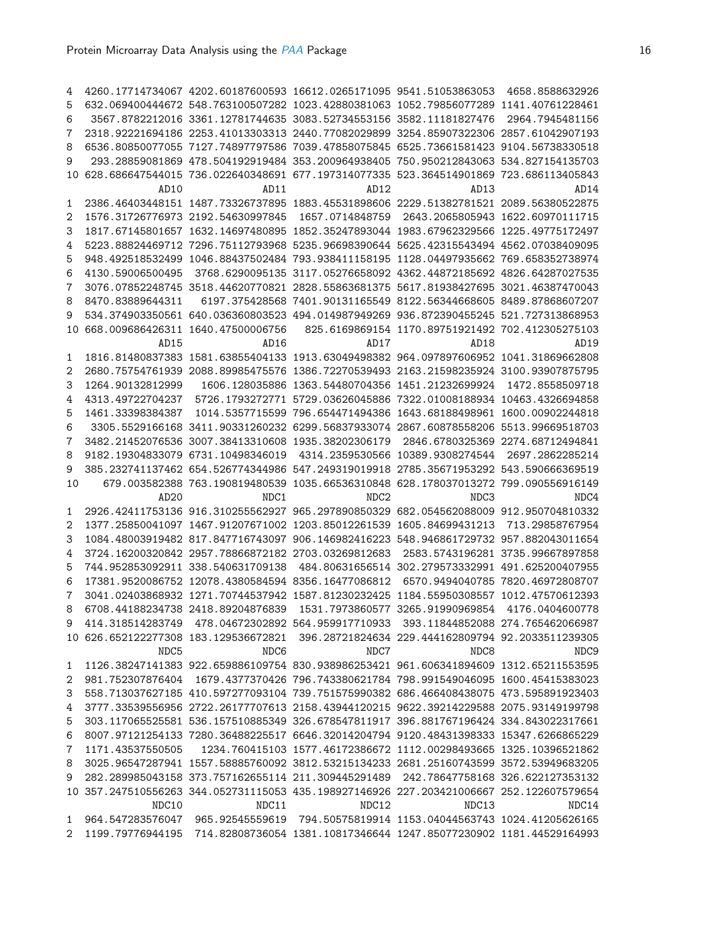| 4  |                                                                                      | 4260.17714734067 4202.60187600593 16612.0265171095 9541.51053863053 4658.8588632926     |                                                                                                    |                                                   |                                  |
|----|--------------------------------------------------------------------------------------|-----------------------------------------------------------------------------------------|----------------------------------------------------------------------------------------------------|---------------------------------------------------|----------------------------------|
| 5  |                                                                                      | 632.069400444672 548.763100507282 1023.42880381063 1052.79856077289 1141.40761228461    |                                                                                                    |                                                   |                                  |
| 6  |                                                                                      | 3567.8782212016 3361.12781744635 3083.52734553156 3582.11181827476                      |                                                                                                    |                                                   | 2964.7945481156                  |
| 7  |                                                                                      | 2318.92221694186 2253.41013303313 2440.77082029899 3254.85907322306 2857.61042907193    |                                                                                                    |                                                   |                                  |
| 8  |                                                                                      | 6536.80850077055 7127.74897797586 7039.47858075845 6525.73661581423 9104.56738330518    |                                                                                                    |                                                   |                                  |
| 9  |                                                                                      | 293.28859081869 478.504192919484 353.200964938405 750.950212843063 534.827154135703     |                                                                                                    |                                                   |                                  |
| 10 |                                                                                      | 628.686647544015 736.022640348691 677.197314077335 523.364514901869 723.686113405843    |                                                                                                    |                                                   |                                  |
|    | AD10                                                                                 | AD11                                                                                    | AD12                                                                                               | AD13                                              | AD14                             |
| 1  |                                                                                      | 2386.46403448151 1487.73326737895 1883.45531898606 2229.51382781521 2089.56380522875    |                                                                                                    |                                                   |                                  |
| 2  |                                                                                      | 1576.31726776973 2192.54630997845                                                       |                                                                                                    | 1657.0714848759 2643.2065805943 1622.60970111715  |                                  |
| 3  |                                                                                      | 1817.67145801657 1632.14697480895 1852.35247893044 1983.67962329566 1225.49775172497    |                                                                                                    |                                                   |                                  |
| 4  |                                                                                      | 5223.88824469712 7296.75112793968 5235.96698390644 5625.42315543494 4562.07038409095    |                                                                                                    |                                                   |                                  |
| 5  |                                                                                      | 948.492518532499 1046.88437502484 793.938411158195 1128.04497935662 769.658352738974    |                                                                                                    |                                                   |                                  |
| 6  | 4130.59006500495                                                                     |                                                                                         | 3768.6290095135 3117.05276658092 4362.44872185692 4826.64287027535                                 |                                                   |                                  |
| 7  |                                                                                      | 3076.07852248745 3518.44620770821 2828.55863681375 5617.81938427695 3021.46387470043    |                                                                                                    |                                                   |                                  |
| 8  | 8470.83889644311                                                                     |                                                                                         | 6197.375428568            7401.90131165549            8122.56344668605            8489.87868607207 |                                                   |                                  |
| 9  |                                                                                      | 534.374903350561 640.036360803523 494.014987949269 936.872390455245 521.727313868953    |                                                                                                    |                                                   |                                  |
| 10 |                                                                                      | 668.009686426311 1640.47500006756                                                       |                                                                                                    | 825.6169869154 1170.89751921492 702.412305275103  |                                  |
|    | AD15                                                                                 | AD16                                                                                    | AD17                                                                                               | AD18                                              | AD19                             |
| 1  |                                                                                      | 1816.81480837383 1581.63855404133 1913.63049498382 964.097897606952 1041.31869662808    |                                                                                                    |                                                   |                                  |
| 2  |                                                                                      | 2680.75754761939 2088.89985475576 1386.72270539493 2163.21598235924 3100.93907875795    |                                                                                                    |                                                   |                                  |
| 3  | 1264.90132812999                                                                     |                                                                                         | 1606.128035886 1363.54480704356 1451.21232699924                                                   |                                                   | 1472.8558509718                  |
|    | 4313.49722704237                                                                     |                                                                                         | 5726.1793272771 5729.03626045886 7322.01008188934 10463.4326694858                                 |                                                   |                                  |
| 4  | 1461.33398384387                                                                     |                                                                                         |                                                                                                    |                                                   |                                  |
| 5  |                                                                                      |                                                                                         |                                                                                                    |                                                   |                                  |
| 6  |                                                                                      | 3305.5529166168 3411.90331260232 6299.56837933074 2867.60878558206 5513.99669518703     |                                                                                                    |                                                   |                                  |
| 7  |                                                                                      | 3482.21452076536 3007.38413310608 1935.38202306179                                      |                                                                                                    |                                                   | 2846.6780325369 2274.68712494841 |
| 8  |                                                                                      | 9182.19304833079 6731.10498346019                                                       |                                                                                                    | 4314.2359530566 10389.9308274544                  | 2697.2862285214                  |
| 9  |                                                                                      | 385.232741137462 654.526774344986 547.249319019918 2785.35671953292 543.590666369519    |                                                                                                    |                                                   |                                  |
| 10 |                                                                                      | 679.003582388 763.190819480539 1035.66536310848 628.178037013272 799.090556916149       |                                                                                                    |                                                   |                                  |
|    | AD <sub>20</sub>                                                                     | NDC1                                                                                    | NDC <sub>2</sub>                                                                                   | NDC3                                              | NDC4                             |
| 1  |                                                                                      | 2926.42411753136 916.310255562927 965.297890850329 682.054562088009 912.950704810332    |                                                                                                    |                                                   |                                  |
| 2  |                                                                                      | 1377.25850041097 1467.91207671002 1203.85012261539 1605.84699431213                     |                                                                                                    |                                                   | 713.29858767954                  |
| 3  |                                                                                      | 1084.48003919482 817.847716743097 906.146982416223 548.946861729732 957.882043011654    |                                                                                                    |                                                   |                                  |
| 4  |                                                                                      | 3724.16200320842 2957.78866872182 2703.03269812683                                      |                                                                                                    |                                                   | 2583.5743196281 3735.99667897858 |
| 5  |                                                                                      | 744.952853092911 338.540631709138                                                       |                                                                                                    | 484.80631656514 302.279573332991 491.625200407955 |                                  |
| 6  |                                                                                      | 17381.9520086752 12078.4380584594 8356.16477086812                                      |                                                                                                    |                                                   | 6570.9494040785 7820.46972808707 |
| 7  |                                                                                      | 3041.02403868932 1271.70744537942 1587.81230232425 1184.55950308557 1012.47570612393    |                                                                                                    |                                                   |                                  |
| 8  |                                                                                      | 6708.44188234738 2418.89204876839                                                       | 1531.7973860577 3265.91990969854 4176.0404600778                                                   |                                                   |                                  |
| 9  |                                                                                      | 414.318514283749 478.04672302892 564.959917710933 393.11844852088 274.765462066987      |                                                                                                    |                                                   |                                  |
|    |                                                                                      | 10 626.652122277308 183.129536672821 396.28721824634 229.444162809794 92.2033511239305  |                                                                                                    |                                                   |                                  |
|    | NDC5                                                                                 | NDC6                                                                                    | NDC7                                                                                               | NDC <sub>8</sub>                                  | NDC <sub>9</sub>                 |
| 1  |                                                                                      | 1126.38247141383 922.659886109754 830.938986253421 961.606341894609 1312.65211553595    |                                                                                                    |                                                   |                                  |
| 2  |                                                                                      | 981.752307876404 1679.4377370426 796.743380621784 798.991549046095 1600.45415383023     |                                                                                                    |                                                   |                                  |
| 3  | 558.713037627185 410.597277093104 739.751575990382 686.466408438075 473.595891923403 |                                                                                         |                                                                                                    |                                                   |                                  |
| 4  |                                                                                      |                                                                                         |                                                                                                    |                                                   |                                  |
|    |                                                                                      | 3777.33539556956 2722.26177707613 2158.43944120215 9622.39214229588 2075.93149199798    |                                                                                                    |                                                   |                                  |
| 5  |                                                                                      | 303.117065525581 536.157510885349 326.678547811917 396.881767196424 334.843022317661    |                                                                                                    |                                                   |                                  |
| 6  |                                                                                      | 8007.97121254133 7280.36488225517 6646.32014204794 9120.48431398333 15347.6266865229    |                                                                                                    |                                                   |                                  |
| 7  | 1171.43537550505                                                                     |                                                                                         | 1234.760415103 1577.46172386672 1112.00298493665 1325.10396521862                                  |                                                   |                                  |
| 8  |                                                                                      | 3025.96547287941 1557.58885760092 3812.53215134233 2681.25160743599 3572.53949683205    |                                                                                                    |                                                   |                                  |
| 9  |                                                                                      | 282.289985043158 373.757162655114 211.309445291489 242.78647758168 326.622127353132     |                                                                                                    |                                                   |                                  |
|    |                                                                                      | 10 357.247510556263 344.052731115053 435.198927146926 227.203421006667 252.122607579654 |                                                                                                    |                                                   |                                  |
|    | NDC10                                                                                | NDC11                                                                                   | NDC12                                                                                              | NDC13                                             | NDC14                            |
| 1  |                                                                                      | 964.547283576047 965.92545559619 794.50575819914 1153.04044563743 1024.41205626165      |                                                                                                    |                                                   |                                  |